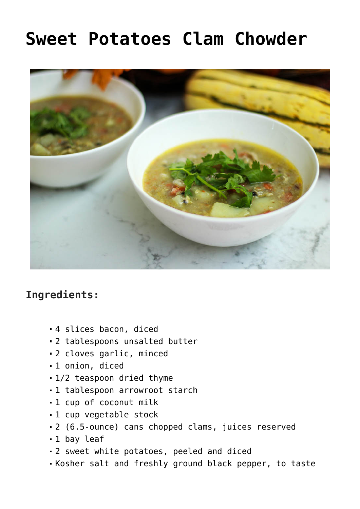## **[Sweet Potatoes Clam Chowder](https://sproutshealth.com/sweet-potatoes-clam-chowder/)**



## **Ingredients:**

- 4 slices bacon, diced
- 2 tablespoons unsalted butter
- 2 cloves garlic, minced
- 1 onion, diced
- 1/2 teaspoon dried thyme
- 1 tablespoon arrowroot starch
- 1 cup of coconut milk
- 1 cup vegetable stock
- 2 (6.5-ounce) cans chopped clams, juices reserved
- 1 bay leaf
- 2 sweet white potatoes, peeled and diced
- Kosher salt and freshly ground black pepper, to taste